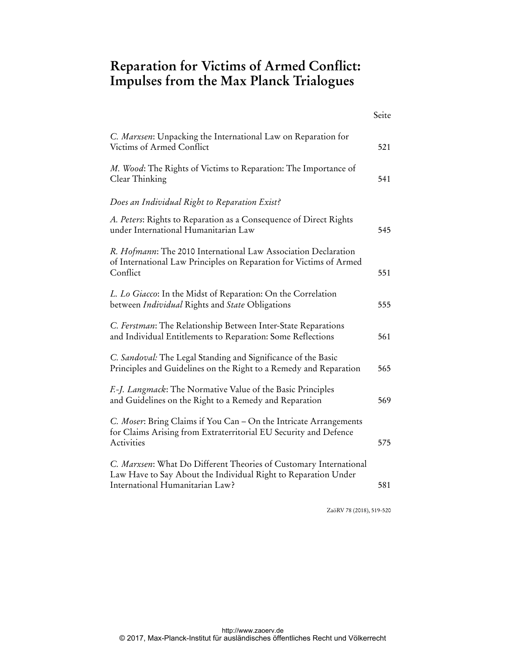## **Reparation for Victims of Armed Conflict: Impulses from the Max Planck Trialogues**

|                                                                                                                                                                        | Seite |
|------------------------------------------------------------------------------------------------------------------------------------------------------------------------|-------|
| C. Marxsen: Unpacking the International Law on Reparation for<br>Victims of Armed Conflict                                                                             | 521   |
| M. Wood: The Rights of Victims to Reparation: The Importance of<br>Clear Thinking                                                                                      | 541   |
| Does an Individual Right to Reparation Exist?                                                                                                                          |       |
| A. Peters: Rights to Reparation as a Consequence of Direct Rights<br>under International Humanitarian Law                                                              | 545   |
| R. Hofmann: The 2010 International Law Association Declaration<br>of International Law Principles on Reparation for Victims of Armed<br>Conflict                       | 551   |
| L. Lo Giacco: In the Midst of Reparation: On the Correlation<br>between Individual Rights and State Obligations                                                        | 555   |
| C. Ferstman: The Relationship Between Inter-State Reparations<br>and Individual Entitlements to Reparation: Some Reflections                                           | 561   |
| C. Sandoval: The Legal Standing and Significance of the Basic<br>Principles and Guidelines on the Right to a Remedy and Reparation                                     | 565   |
| F.-J. Langmack: The Normative Value of the Basic Principles<br>and Guidelines on the Right to a Remedy and Reparation                                                  | 569   |
| C. Moser: Bring Claims if You Can - On the Intricate Arrangements<br>for Claims Arising from Extraterritorial EU Security and Defence<br>Activities                    | 575   |
| C. Marxsen: What Do Different Theories of Customary International<br>Law Have to Say About the Individual Right to Reparation Under<br>International Humanitarian Law? | 581   |

ZaöRV 78 (2018), 519-520